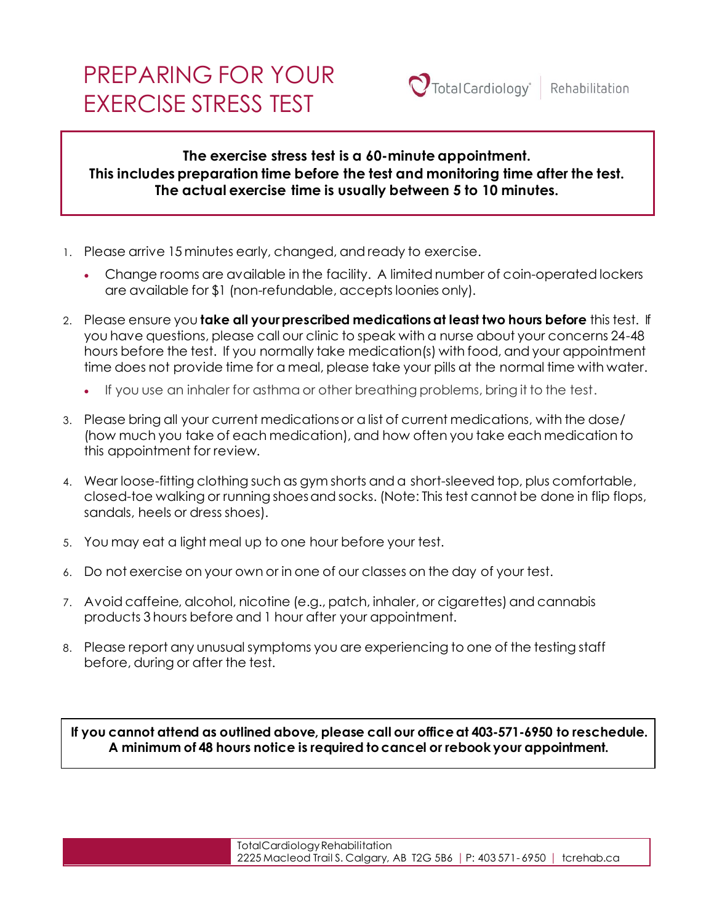# PREPARING FOR YOUR EXERCISE STRESS TEST

## **The exercise stress test is a 60-minute appointment. This includes preparation time before the test and monitoring time after the test. The actual exercise time is usually between 5 to 10 minutes.**

- 1. Please arrive 15 minutes early, changed, and ready to exercise.
	- Change rooms are available in the facility. A limited number of coin-operated lockers are available for \$1 (non-refundable, accepts loonies only).
- 2. Please ensure you **take all your prescribed medications at least two hours before** this test. If you have questions, please call our clinic to speak with a nurse about your concerns 24-48 hours before the test. If you normally take medication(s) with food, and your appointment time does not provide time for a meal, please take your pills at the normal time with water.
	- If you use an inhaler for asthma or other breathing problems, bring it to the test.
- 3. Please bring all your current medications or a list of current medications, with the dose/ (how much you take of each medication), and how often you take each medication to this appointment for review.
- 4. Wear loose-fitting clothing such as gym shorts and a short-sleeved top, plus comfortable, closed-toe walking or running shoes and socks. (Note: This test cannot be done in flip flops, sandals, heels or dress shoes).
- 5. You may eat a light meal up to one hour before your test.
- 6. Do not exercise on your own or in one of our classes on the day of your test.
- 7. Avoid caffeine, alcohol, nicotine (e.g., patch, inhaler, or cigarettes) and cannabis products 3 hours before and 1 hour after your appointment.
- 8. Please report any unusual symptoms you are experiencing to one of the testing staff before, during or after the test.

If you cannot attend as outlined above, please call our office at 403-571-6950 to reschedule. this test is done. Please review this prior to your test. **A minimum of 48 hours notice is required to cancel or rebook your appointment.**